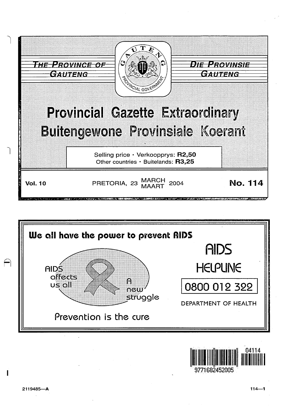





2119485-A